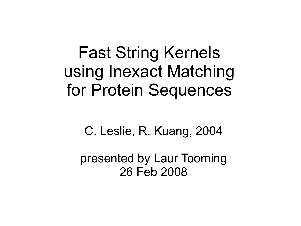Fast String Kernels using Inexact Matching for Protein Sequences

C. Leslie, R. Kuang, 2004

presented by Laur Tooming 26 Feb 2008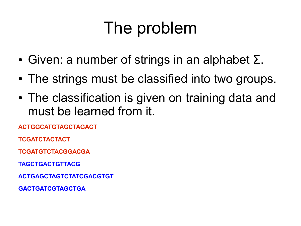### The problem

- Given: a number of strings in an alphabet Σ.
- The strings must be classified into two groups.
- The classification is given on training data and must be learned from it.

**ACTGGCATGTAGCTAGACT**

**TCGATCTACTACT**

**TCGATGTCTACGGACGA**

**TAGCTGACTGTTACG**

**ACTGAGCTAGTCTATCGACGTGT**

**GACTGATCGTAGCTGA**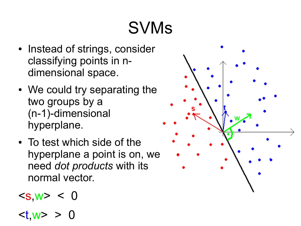# SVMs

- Instead of strings, consider classifying points in ndimensional space.
- We could try separating the two groups by a (n-1)-dimensional hyperplane.
- To test which side of the hyperplane a point is on, we need *dot products* with its normal vector.

$$
\langle s, w \rangle < 0
$$

$$
\langle t, w \rangle > 0
$$

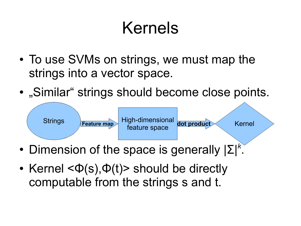### Kernels

- To use SVMs on strings, we must map the strings into a vector space.
- "Similar" strings should become close points.



- Dimension of the space is generally  $|\Sigma|^k$ .
- Kernel  $\langle \Phi(s), \Phi(t) \rangle$  should be directly computable from the strings s and t.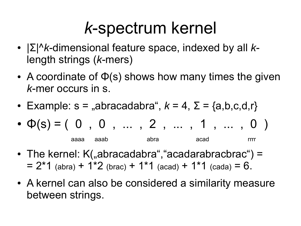#### *k*-spectrum kernel

- |Σ|<sup>^</sup>*k*-dimensional feature space, indexed by all *k*length strings (*k*-mers)
- A coordinate of  $\Phi(s)$  shows how many times the given *k*-mer occurs in s.
- Example:  $s =$  "abracadabra",  $k = 4$ ,  $\Sigma = \{a,b,c,d,r\}$
- $\bullet$   $\Phi(s) = (0, 0, ..., 2, ..., 1, ..., 0)$ aaaa aaab abra acad rrrr
- The kernel:  $K($ "abracadabra", "acadarabracbrac") =  $= 2*1$  (abra) + 1<sup>\*</sup>2 (brac) + 1<sup>\*</sup>1 (acad) + 1<sup>\*</sup>1 (cada) = 6.
- A kernel can also be considered a similarity measure between strings.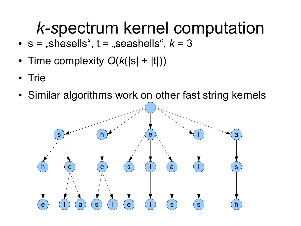### *k-s*pectrum kernel computation

- $s =$  "shesells",  $t =$  "seashells",  $k = 3$
- Time complexity  $O(k(|s| + |t|))$
- Trie
- Similar algorithms work on other fast string kernels

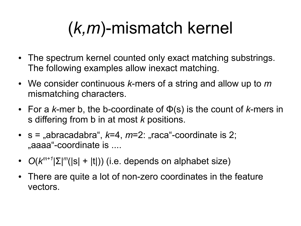## (*k,m*)-mismatch kernel

- The spectrum kernel counted only exact matching substrings. The following examples allow inexact matching.
- We consider continuous *k*-mers of a string and allow up to *m* mismatching characters.
- $\bullet$  For a *k*-mer b, the b-coordinate of  $\Phi(s)$  is the count of *k*-mers in s differing from b in at most *k* positions.
- $s =$  "abracadabra",  $k=4$ ,  $m=2$ : "raca"-coordinate is 2; ...aaaa"-coordinate is ....
- $\bullet$   $O(k^{m+1}|\Sigma|^{m}(|s| + |t|))$  (i.e. depends on alphabet size)
- There are quite a lot of non-zero coordinates in the feature vectors.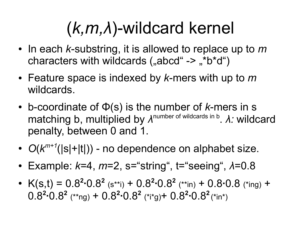## (*k,m,λ*)-wildcard kernel

- In each *k*-substring, it is allowed to replace up to *m* characters with wildcards  $($ "abcd" -> "\*b\*d")
- Feature space is indexed by *k*-mers with up to *m* wildcards.
- b-coordinate of  $\Phi(s)$  is the number of *k*-mers in s matching b, multiplied by *λ*<sup>number of wildcards in b</sup>. *λ:* wildcard penalty, between 0 and 1.
- $O(k^{m+1}(|s|+|t|))$  no dependence on alphabet size.
- Example:  $k=4$ ,  $m=2$ , s="string", t="seeing",  $λ=0.8$
- $K(s,t) = 0.8^2 \cdot 0.8^2$  (s\*\*i) +  $0.8^2 \cdot 0.8^2$  (\*\*in) +  $0.8 \cdot 0.8$  (\*ing) +  $0.8^2 \cdot 0.8^2$  (\*\*ng) +  $0.8^2 \cdot 0.8^2$  (\*i\*g) +  $0.8^2 \cdot 0.8^2$  $(*in^*)$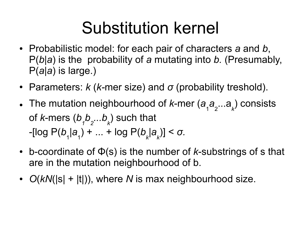### Substitution kernel

- Probabilistic model: for each pair of characters *a* and *b*, P(*b*|*a*) is the probability of *a* mutating into *b.* (Presumably, P(*a*|*a*) is large.)
- Parameters: *k* (*k*-mer size) and *σ* (probability treshold).
- The mutation neighbourhood of *k*-mer (*a* 1 *a* 2 ...a *k* ) consists of *k*-mers (*b 1 b 2 ...b k* ) such that -[log P(*b* 1 |*a* 1 ) + ... + log P(*b k* |*a k* )] < *σ.*
- $\cdot$  b-coordinate of  $\Phi(s)$  is the number of *k*-substrings of s that are in the mutation neighbourhood of b.
- *O(kN(|s| + |t|)), where N is max neighbourhood size.*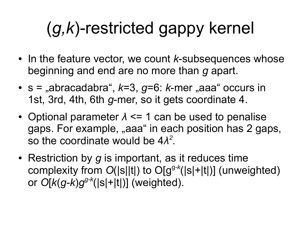# (*g,k*)-restricted gappy kernel

- In the feature vector, we count *k*-subsequences whose beginning and end are no more than *g* apart.
- $\cdot$  s = "abracadabra",  $k=3$ ,  $q=6$ :  $k$ -mer "aaa" occurs in 1st, 3rd, 4th, 6th *g*-mer, so it gets coordinate 4.
- Optional parameter  $\lambda \leq 1$  can be used to penalise gaps. For example, "aaa" in each position has 2 gaps, so the coordinate would be  $4\lambda^2$ .
- Restriction by *g* is important, as it reduces time complexity from *O*(|s||t|) to O[g<sup>g</sup>*-k* (*|*s|+|t|)] (unweighted) or *O*[*k*(*g-k*)*g g-k* (*|*s|+|t|)] (weighted).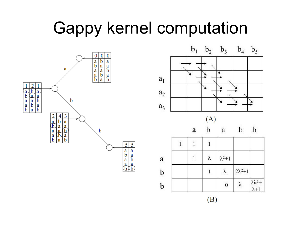#### Gappy kernel computation





 $(B)$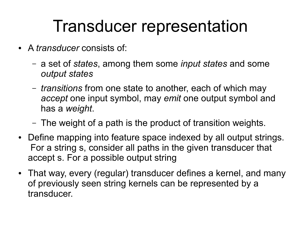#### Transducer representation

- A *transducer* consists of:
	- a set of *states*, among them some *input states* and some *output states*
	- *transitions* from one state to another, each of which may *accept* one input symbol, may *emit* one output symbol and has a *weight*.
	- The weight of a path is the product of transition weights.
- Define mapping into feature space indexed by all output strings. For a string s, consider all paths in the given transducer that accept s. For a possible output string
- That way, every (regular) transducer defines a kernel, and many of previously seen string kernels can be represented by a transducer.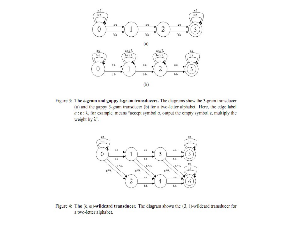

Figure 3: The k-gram and gappy k-gram transducers. The diagrams show the 3-gram transducer (a) and the gappy 3-gram transducer (b) for a two-letter alphabet. Here, the edge label  $a:\epsilon:\lambda$ , for example, means "accept symbol a, output the empty symbol  $\epsilon$ , multiply the weight by  $\lambda$ ".



Figure 4: The  $(k, m)$ -wildcard transducer. The diagram shows the  $(3, 1)$ -wildcard transducer for a two-letter alphabet.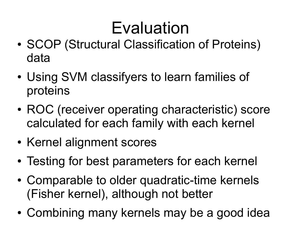### Evaluation

- SCOP (Structural Classification of Proteins) data
- Using SVM classifyers to learn families of proteins
- ROC (receiver operating characteristic) score calculated for each family with each kernel
- Kernel alignment scores
- Testing for best parameters for each kernel
- Comparable to older quadratic-time kernels (Fisher kernel), although not better
- Combining many kernels may be a good idea